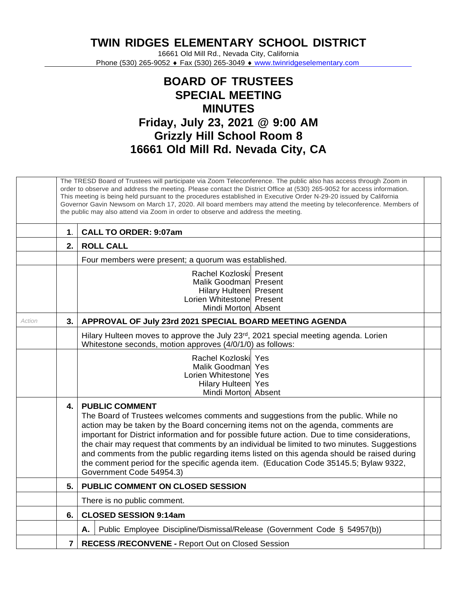**TWIN RIDGES ELEMENTARY SCHOOL DISTRICT**

16661 Old Mill Rd., Nevada City, California Phone (530) 265-9052 ♦ Fax (530) 265-3049 ♦ [www.twinridgeselementary.com](http://www.twinridgeselementary.com/)

## **BOARD OF TRUSTEES SPECIAL MEETING MINUTES Friday, July 23, 2021 @ 9:00 AM Grizzly Hill School Room 8 16661 Old Mill Rd. Nevada City, CA**

|        | The TRESD Board of Trustees will participate via Zoom Teleconference. The public also has access through Zoom in<br>order to observe and address the meeting. Please contact the District Office at (530) 265-9052 for access information.<br>This meeting is being held pursuant to the procedures established in Executive Order N-29-20 issued by California<br>Governor Gavin Newsom on March 17, 2020. All board members may attend the meeting by teleconference. Members of<br>the public may also attend via Zoom in order to observe and address the meeting. |                                                                                                                                                                                                                                                                                                                                                                                                                                                                                                                                                                                                                     |
|--------|------------------------------------------------------------------------------------------------------------------------------------------------------------------------------------------------------------------------------------------------------------------------------------------------------------------------------------------------------------------------------------------------------------------------------------------------------------------------------------------------------------------------------------------------------------------------|---------------------------------------------------------------------------------------------------------------------------------------------------------------------------------------------------------------------------------------------------------------------------------------------------------------------------------------------------------------------------------------------------------------------------------------------------------------------------------------------------------------------------------------------------------------------------------------------------------------------|
|        | $\mathbf 1$ .                                                                                                                                                                                                                                                                                                                                                                                                                                                                                                                                                          | <b>CALL TO ORDER: 9:07am</b>                                                                                                                                                                                                                                                                                                                                                                                                                                                                                                                                                                                        |
|        | 2.                                                                                                                                                                                                                                                                                                                                                                                                                                                                                                                                                                     | <b>ROLL CALL</b>                                                                                                                                                                                                                                                                                                                                                                                                                                                                                                                                                                                                    |
|        |                                                                                                                                                                                                                                                                                                                                                                                                                                                                                                                                                                        | Four members were present; a quorum was established.                                                                                                                                                                                                                                                                                                                                                                                                                                                                                                                                                                |
|        |                                                                                                                                                                                                                                                                                                                                                                                                                                                                                                                                                                        | Rachel Kozloski Present<br>Malik Goodman Present<br>Hilary Hulteen Present<br>Lorien Whitestone Present<br>Mindi Morton Absent                                                                                                                                                                                                                                                                                                                                                                                                                                                                                      |
| Action | 3.                                                                                                                                                                                                                                                                                                                                                                                                                                                                                                                                                                     | APPROVAL OF July 23rd 2021 SPECIAL BOARD MEETING AGENDA                                                                                                                                                                                                                                                                                                                                                                                                                                                                                                                                                             |
|        |                                                                                                                                                                                                                                                                                                                                                                                                                                                                                                                                                                        | Hilary Hulteen moves to approve the July 23rd, 2021 special meeting agenda. Lorien<br>Whitestone seconds, motion approves (4/0/1/0) as follows:                                                                                                                                                                                                                                                                                                                                                                                                                                                                     |
|        |                                                                                                                                                                                                                                                                                                                                                                                                                                                                                                                                                                        | Rachel Kozloski Yes<br>Malik Goodman Yes<br>Lorien Whitestonel Yes<br>Hilary Hulteen Yes<br>Mindi Morton Absent                                                                                                                                                                                                                                                                                                                                                                                                                                                                                                     |
|        | 4.                                                                                                                                                                                                                                                                                                                                                                                                                                                                                                                                                                     | <b>PUBLIC COMMENT</b><br>The Board of Trustees welcomes comments and suggestions from the public. While no<br>action may be taken by the Board concerning items not on the agenda, comments are<br>important for District information and for possible future action. Due to time considerations,<br>the chair may request that comments by an individual be limited to two minutes. Suggestions<br>and comments from the public regarding items listed on this agenda should be raised during<br>the comment period for the specific agenda item. (Education Code 35145.5; Bylaw 9322,<br>Government Code 54954.3) |
|        | 5.                                                                                                                                                                                                                                                                                                                                                                                                                                                                                                                                                                     | PUBLIC COMMENT ON CLOSED SESSION                                                                                                                                                                                                                                                                                                                                                                                                                                                                                                                                                                                    |
|        |                                                                                                                                                                                                                                                                                                                                                                                                                                                                                                                                                                        | There is no public comment.                                                                                                                                                                                                                                                                                                                                                                                                                                                                                                                                                                                         |
|        | 6.                                                                                                                                                                                                                                                                                                                                                                                                                                                                                                                                                                     | <b>CLOSED SESSION 9:14am</b>                                                                                                                                                                                                                                                                                                                                                                                                                                                                                                                                                                                        |
|        |                                                                                                                                                                                                                                                                                                                                                                                                                                                                                                                                                                        | Public Employee Discipline/Dismissal/Release (Government Code § 54957(b))<br>А.                                                                                                                                                                                                                                                                                                                                                                                                                                                                                                                                     |
|        | $\overline{7}$                                                                                                                                                                                                                                                                                                                                                                                                                                                                                                                                                         | <b>RECESS /RECONVENE - Report Out on Closed Session</b>                                                                                                                                                                                                                                                                                                                                                                                                                                                                                                                                                             |